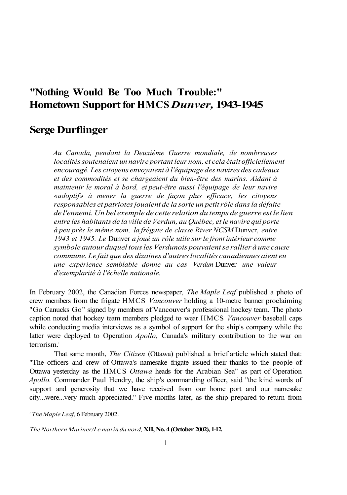## **"Nothing Would Be Too Much Trouble:" Hometown Support for HMCS** *Dunver,* **1943-1945**

## **Serge Durflinger**

*Au Canada, pendant la Deuxième Guerre mondiale, de nombreuses*  localités soutenaient un navire portant leur nom, et cela était officiellement *encouragé. Les citoyens envoyaient à l'équipage des navires des cadeaux et des commodités et se chargeaient du bien-être des marins. Aidant à maintenir le moral à bord, et peut-être aussi l'équipage de leur navire «adoptif» à mener la guerre de façon plus efficace, les citoyens responsables et patriotes jouaient de la sorte un petit rôle dans la défaite de l'ennemi. Un bel exemple de cette relation du temps de guerre est le lien entre les habitants de la ville de Verdun, au Québec, et le navire qui porte à peu près le même nom, la frégate de classe River NCSM* Dunver, *entre 1943 et 1945. Le* Dunver *a joué un rôle utile sur le front intérieur comme symbole autour duquel tous les Verdunois pouvaient se rallier à une cause commune. Le fait que des dizaines d'autres localités canadiennes aient eu une expérience semblable donne au cas Verdun-*Dunver *une valeur d'exemplarité à l'échelle nationale.* 

In February 2002, the Canadian Forces newspaper, *The Maple Leaf* published a photo of crew members from the frigate HMCS *Vancouver* holding a 10-metre banner proclaiming "Go Canucks Go" signed by members of Vancouver's professional hockey team. The photo caption noted that hockey team members pledged to wear HMCS *Vancouver* baseball caps while conducting media interviews as a symbol of support for the ship's company while the latter were deployed to Operation *Apollo,* Canada's military contribution to the war on terrorism.<sup>1</sup>

That same month, *The Citizen* (Ottawa) published a brief article which stated that: "The officers and crew of Ottawa's namesake frigate issued their thanks to the people of Ottawa yesterday as the HMCS *Ottawa* heads for the Arabian Sea" as part of Operation *Apollo.* Commander Paul Hendry, the ship's commanding officer, said "the kind words of support and generosity that we have received from our home port and our namesake city...were...very much appreciated." Five months later, as the ship prepared to return from

*1 The Maple Leaf,* 6 February 2002.

*The Northern Mariner/Le marin du nord,* **XII, No. 4 (October 2002), 1-12.**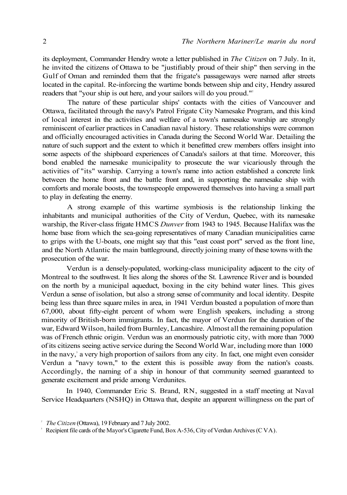its deployment, Commander Hendry wrote a letter published in *The Citizen* on 7 July. In it, he invited the citizens of Ottawa to be "justifiably proud of their ship" then serving in the Gulf of Oman and reminded them that the frigate's passageways were named after streets located in the capital. Re-inforcing the wartime bonds between ship and city, Hendry assured readers that "your ship is out here, and your sailors will do you proud."<sup>2</sup>

The nature of these particular ships' contacts with the cities of Vancouver and Ottawa, facilitated through the navy's Patrol Frigate City Namesake Program, and this kind of local interest in the activities and welfare of a town's namesake warship are strongly reminiscent of earlier practices in Canadian naval history. These relationships were common and officially encouraged activities in Canada during the Second World War. Detailing the nature of such support and the extent to which it benefitted crew members offers insight into some aspects of the shipboard experiences of Canada's sailors at that time. Moreover, this bond enabled the namesake municipality to prosecute the war vicariously through the activities of "its" warship. Carrying a town's name into action established a concrete link between the home front and the battle front and, in supporting the namesake ship with comforts and morale boosts, the townspeople empowered themselves into having a small part to play in defeating the enemy.

A strong example of this wartime symbiosis is the relationship linking the inhabitants and municipal authorities of the City of Verdun, Quebec, with its namesake warship, the River-class frigate HMCS *Dunver* from 1943 to 1945. Because Halifax was the home base from which the sea-going representatives of many Canadian municipalities came to grips with the U-boats, one might say that this "east coast port" served as the front line, and the North Atlantic the main battleground, directly joining many of these towns with the prosecution of the war.

Verdun is a densely-populated, working-class municipality adjacent to the city of Montreal to the southwest. It lies along the shores of the St. Lawrence River and is bounded on the north by a municipal aqueduct, boxing in the city behind water lines. This gives Verdun a sense of isolation, but also a strong sense of community and local identity. Despite being less than three square miles in area, in 1941 Verdun boasted a population of more than 67,000, about fifty-eight percent of whom were English speakers, including a strong minority of British-born immigrants. In fact, the mayor of Verdun for the duration of the war, Edward Wilson, hailed from Burnley, Lancashire. Almost all the remaining population was of French ethnic origin. Verdun was an enormously patriotic city, with more than 7000 of its citizens seeing active service during the Second World War, including more than 1000 in the navy,<sup>3</sup> a very high proportion of sailors from any city. In fact, one might even consider Verdun a "navy town," to the extent this is possible away from the nation's coasts. Accordingly, the naming of a ship in honour of that community seemed guaranteed to generate excitement and pride among Verdunites.

In 1940, Commander Eric S. Brand, RN, suggested in a staff meeting at Naval Service Headquarters (NSHQ) in Ottawa that, despite an apparent willingness on the part of

*<sup>2</sup> The Citizen* (Ottawa), 19 February and 7 July 2002.

<sup>&</sup>lt;sup>3</sup> Recipient file cards of the Mayor's Cigarette Fund, Box A-536, City of Verdun Archives (C VA).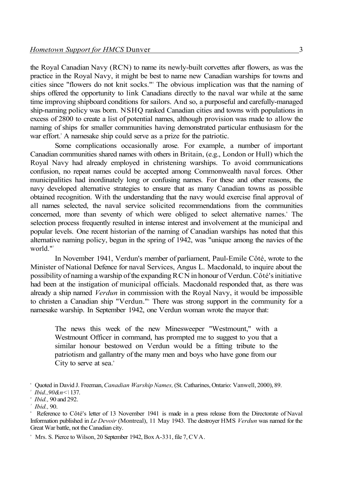the Royal Canadian Navy (RCN) to name its newly-built corvettes after flowers, as was the practice in the Royal Navy, it might be best to name new Canadian warships for towns and cities since "flowers do not knit socks."<sup>4</sup> The obvious implication was that the naming of ships offered the opportunity to link Canadians directly to the naval war while at the same time improving shipboard conditions for sailors. And so, a purposeful and carefully-managed ship-naming policy was born. NSHQ ranked Canadian cities and towns with populations in excess of 2800 to create a list of potential names, although provision was made to allow the naming of ships for smaller communities having demonstrated particular enthusiasm for the war effort.<sup>5</sup> A namesake ship could serve as a prize for the patriotic.

Some complications occasionally arose. For example, a number of important Canadian communities shared names with others in Britain, (e.g., London or Hull) which the Royal Navy had already employed in christening warships. To avoid communications confusion, no repeat names could be accepted among Commonwealth naval forces. Other municipalities had inordinately long or confusing names. For these and other reasons, the navy developed alternative strategies to ensure that as many Canadian towns as possible obtained recognition. With the understanding that the navy would exercise final approval of all names selected, the naval service solicited recommendations from the communities concerned, more than seventy of which were obliged to select alternative names. The selection process frequently resulted in intense interest and involvement at the municipal and popular levels. One recent historian of the naming of Canadian warships has noted that this alternative naming policy, begun in the spring of 1942, was "unique among the navies of the world."<sup>7</sup>

In November 1941, Verdun's member of parliament, Paul-Emile Côté, wrote to the Minister of National Defence for naval Services, Angus L. Macdonald, to inquire about the possibility of naming a warship of the expanding RCN in honour of Verdun. Côté's initiative had been at the instigation of municipal officials. Macdonald responded that, as there was already a ship named *Verdun* in commission with the Royal Navy, it would be impossible to christen a Canadian ship "Verdun."<sup>8</sup> There was strong support in the community for a namesake warship. In September 1942, one Verdun woman wrote the mayor that:

The news this week of the new Minesweeper "Westmount," with a Westmount Officer in command, has prompted me to suggest to you that a similar honour bestowed on Verdun would be a fitting tribute to the patriotism and gallantry of the many men and boys who have gone from our City to serve at sea.<sup>9</sup>

<sup>4</sup> Quoted in David J. Freeman, *Canadian Warship Names,* (St. Catharines, Ontario: Vanwell, 2000), 89. *5 Ibid.,90&n<\* 137.

*<sup>6</sup> Ibid.,* 90 and 292.

*<sup>7</sup> Ibid.,* 90.

<sup>8</sup> Reference to Côté's letter of 13 November 1941 is made in a press release from the Directorate of Naval Information published in *Le Devoir* (Montreal), 11 May 1943. The destroyer HMS *Verdun* was named for the Great War battle, not the Canadian city.

<sup>9</sup> Mrs. S. Pierce to Wilson, 20 September 1942, Box A-331, file 7, CVA.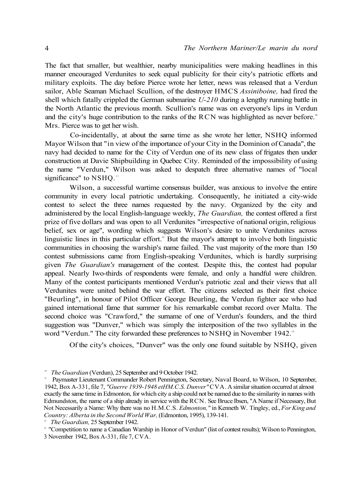The fact that smaller, but wealthier, nearby municipalities were making headlines in this manner encouraged Verdunites to seek equal publicity for their city's patriotic efforts and military exploits. The day before Pierce wrote her letter, news was released that a Verdun sailor, Able Seaman Michael Scullion, of the destroyer HMCS *Assiniboine,* had fired the shell which fatally crippled the German submarine *U-210* during a lengthy running battle in the North Atlantic the previous month. Scullion's name was on everyone's lips in Verdun and the city's huge contribution to the ranks of the RCN was highlighted as never before.<sup>10</sup> Mrs. Pierce was to get her wish.

Co-incidentally, at about the same time as she wrote her letter, NSHQ informed Mayor Wilson that "in view of the importance of your City in the Dominion of Canada", the navy had decided to name for the City of Verdun one of its new class of frigates then under construction at Davie Shipbuilding in Quebec City. Reminded of the impossibility of using the name "Verdun," Wilson was asked to despatch three alternative names of "local significance" to NSHQ."

Wilson, a successful wartime consensus builder, was anxious to involve the entire community in every local patriotic undertaking. Consequently, he initiated a city-wide contest to select the three names requested by the navy. Organized by the city and administered by the local English-language weekly, *The Guardian,* the contest offered a first prize of five dollars and was open to all Verdunites "irrespective of national origin, religious belief, sex or age", wording which suggests Wilson's desire to unite Verdunites across linguistic lines in this particular effort.<sup>12</sup> But the mayor's attempt to involve both linguistic communities in choosing the warship's name failed. The vast majority of the more than 150 contest submissions came from English-speaking Verdunites, which is hardly surprising given *The Guardian's* management of the contest. Despite this, the contest had popular appeal. Nearly Iwo-thirds of respondents were female, and only a handful were children. Many of the contest participants mentioned Verdun's patriotic zeal and their views that all Verdunites were united behind the war effort. The citizens selected as their first choice "Beurling", in honour of Pilot Officer George Beurling, the Verdun fighter ace who had gained international fame that summer for his remarkable combat record over Malta. The second choice was "Crawford," the surname of one of Verdun's founders, and the third suggestion was "Dunver," which was simply the interposition of the two syllables in the word "Verdun." The city forwarded these preferences to NSHQ in November 1942.<sup>13</sup>

Of the city's choices, "Dunver" was the only one found suitable by NSHQ, given

*<sup>10</sup> The Guardian* (Verdun), 25 September and 9 October 1942.

<sup>11</sup> Paymaster Lieutenant Commander Robert Pennington, Secretary, Naval Board, to Wilson, 10 September, 1942, Box A-331, file 7, *"Guerre 1939-1948 etHM.C.S. Dunver"* CVA. A similar situation occurred at almost exactly the same time in Edmonton, for which city a ship could not be named due to the similarity in names with Edmundston, the name of a ship already in service with the RCN. See Bruce Ibsen, "A Name if Necessary, But Not Necessarily a Name: Why there was no H.M.C.S. *Edmonton,"* in Kenneth W. Tingley, ed., *For King and Country: Alberta in the Second World War,* (Edmonton, 1995), 139-141.

*<sup>12</sup> The Guardian,* 25 September 1942.

<sup>&</sup>lt;sup>13</sup> "Competition to name a Canadian Warship in Honor of Verdun" (list of contest results); Wilson to Pennington, 3 November 1942, Box A-331, file 7, CVA.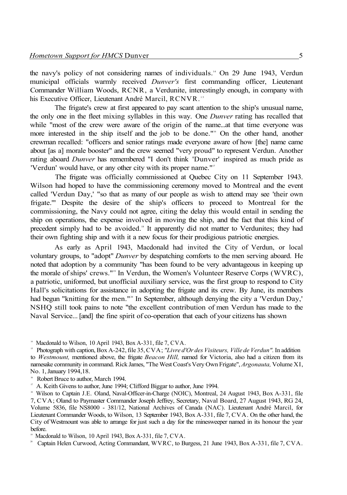the navy's policy of not considering names of individuals.<sup>14</sup> On 29 June 1943, Verdun municipal officials warmly received *Dunver's* first commanding officer, Lieutenant Commander William Woods, RCNR, a Verdunite, interestingly enough, in company with his Executive Officer, Lieutenant André Marcil, RCNVR.<sup>15</sup>

The frigate's crew at first appeared to pay scant attention to the ship's unusual name, the only one in the fleet mixing syllables in this way. One *Dunver* rating has recalled that while "most of the crew were aware of the origin of the name...at that time everyone was more interested in the ship itself and the job to be done."<sup>16</sup> On the other hand, another crewman recalled: "officers and senior ratings made everyone aware of how [the] name came about [as a] morale booster" and the crew seemed "very proud" to represent Verdun. Another rating aboard *Dunver* has remembered "I don't think 'Dunver' inspired as much pride as 'Verdun' would have, or any other city with its proper name."<sup>17</sup>

The frigate was officially commissioned at Quebec City on 11 September 1943. Wilson had hoped to have the commissioning ceremony moved to Montreal and the event called 'Verdun Day,' "so that as many of our people as wish to attend may see 'their own frigate.'" Despite the desire of the ship's officers to proceed to Montreal for the commissioning, the Navy could not agree, citing the delay this would entail in sending the ship on operations, the expense involved in moving the ship, and the fact that this kind of precedent simply had to be avoided.<sup>18</sup> It apparently did not matter to Verdunites; they had their own fighting ship and with it a new focus for their prodigious patriotic energies.

As early as April 1943, Macdonald had invited the City of Verdun, or local voluntary groups, to "adopt" *Dunver* by despatching comforts to the men serving aboard. He noted that adoption by a community "has been found to be very advantageous in keeping up the morale of ships' crews."<sup>9</sup> In Verdun, the Women's Volunteer Reserve Corps (WVRC), a patriotic, uniformed, but unofficial auxiliary service, was the first group to respond to City Hall's solicitations for assistance in adopting the frigate and its crew. By June, its members had begun "knitting for the men."<sup>20</sup> In September, although denying the city a 'Verdun Day,' NSHQ still took pains to note "the excellent contribution of men Verdun has made to the Naval Service... [and] the fine spirit of co-operation that each of your citizens has shown

<sup>&</sup>lt;sup>14</sup> Macdonald to Wilson, 10 April 1943, Box A-331, file 7, CVA.

<sup>15</sup> Photograph with caption, Box A-242, file 35, CVA; *"Livre d'Or des Visiteurs, Ville de Verdun".* In addition to *Westmount,* mentioned above, the frigate *Beacon Hill,* named for Victoria, also had a citizen from its namesake community in command. Rick James, "The West Coast's Very Own Frigate", *Argonauta,* Volume XI, No. 1, January 1994,18.

<sup>&</sup>lt;sup>16</sup> Robert Bruce to author, March 1994.

<sup>&</sup>lt;sup>17</sup> A. Keith Givens to author, June 1994; Clifford Biggar to author, June 1994.

<sup>&</sup>lt;sup>18</sup> Wilson to Captain J.E. Oland, Naval-Officer-in-Charge (NOIC), Montreal, 24 August 1943, Box A-331, file 7, CVA; Oland to Paymaster Commander Joseph Jeffrey, Secretary, Naval Board, 27 August 1943, RG 24, Volume 5836, file NS8000 - 381/12, National Archives of Canada (NAC). Lieutenant André Marcil, for Lieutenant Commander Woods, to Wilson, 13 September 1943, Box A-331, file 7, CVA. On the other hand, the City of Westmount was able to arrange for just such a day for the minesweeper named in its honour the year before.

<sup>19</sup> Macdonald to Wilson, 10 April 1943, Box A-331, file 7, CVA.

<sup>&</sup>lt;sup>20</sup> Captain Helen Curwood, Acting Commandant, WVRC, to Burgess, 21 June 1943, Box A-331, file 7, CVA.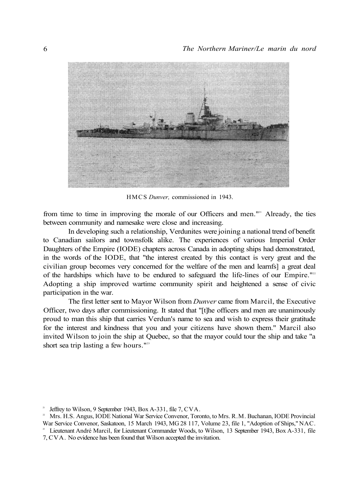

HMCS *Dunver,* commissioned in 1943.

from time to time in improving the morale of our Officers and men."<sup>21</sup> Already, the ties between community and namesake were close and increasing.

In developing such a relationship, Verdunites were joining a national trend of benefit to Canadian sailors and townsfolk alike. The experiences of various Imperial Order Daughters of the Empire (IODE) chapters across Canada in adopting ships had demonstrated, in the words of the IODE, that "the interest created by this contact is very great and the civilian group becomes very concerned for the welfare of the men and learnfs] a great deal of the hardships which have to be endured to safeguard the life-lines of our Empire."<sup>22</sup> Adopting a ship improved wartime community spirit and heightened a sense of civic participation in the war.

The first letter sent to Mayor Wilson from *Dunver* came from Marcil, the Executive Officer, two days after commissioning. It stated that "[t]he officers and men are unanimously proud to man this ship that carries Verdun's name to sea and wish to express their gratitude for the interest and kindness that you and your citizens have shown them." Marcil also invited Wilson to join the ship at Quebec, so that the mayor could tour the ship and take "a short sea trip lasting a few hours."<sup>23</sup>

<sup>21</sup> Jeffrey to Wilson, 9 September 1943, Box A-331, file 7, CVA.

<sup>22</sup> Mrs. H.S. Angus, IODE National War Service Convenor, Toronto, to Mrs. R.M. Buchanan, IODE Provincial War Service Convenor, Saskatoon, 15 March 1943, MG 28 117, Volume 23, file 1, "Adoption of Ships," NAC. <sup>23</sup> Lieutenant André Marcil, for Lieutenant Commander Woods, to Wilson, 13 September 1943, Box A-331, file

<sup>7,</sup> CVA. No evidence has been found that Wilson accepted the invitation.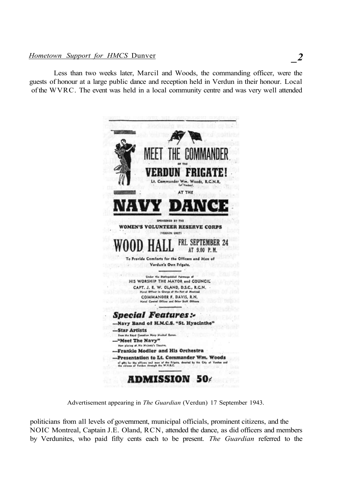## *Hometown Support for HMCS* Dunver

Less than two weeks later, Marcil and Woods, the commanding officer, were the guests of honour at a large public dance and reception held in Verdun in their honour. Local of the WVRC. The event was held in a local community centre and was very well attended



Advertisement appearing in *The Guardian* (Verdun) 17 September 1943.

politicians from all levels of government, municipal officials, prominent citizens, and the NOIC Montreal, Captain J.E. Oland, RCN, attended the dance, as did officers and members by Verdunites, who paid fifty cents each to be present. *The Guardian* referred to the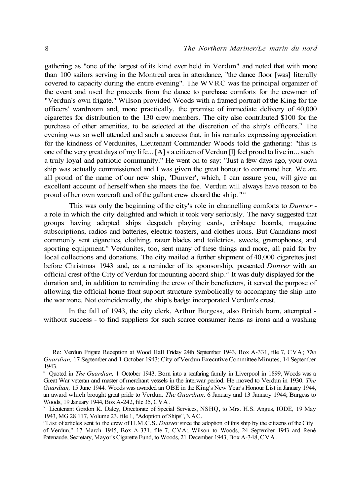gathering as "one of the largest of its kind ever held in Verdun" and noted that with more than 100 sailors serving in the Montreal area in attendance, "the dance floor [was] literally covered to capacity during the entire evening". The WVRC was the principal organizer of the event and used the proceeds from the dance to purchase comforts for the crewmen of "Verdun's own frigate." Wilson provided Woods with a framed portrait of the King for the officers' wardroom and, more practically, the promise of immediate delivery of 40,000 cigarettes for distribution to the 130 crew members. The city also contributed \$100 for the purchase of other amenities, to be selected at the discretion of the ship's officers.<sup>24</sup> The evening was so well attended and such a success that, in his remarks expressing appreciation for the kindness of Verdunites, Lieutenant Commander Woods told the gathering: "this is one of the very great days of my life... [A] s a citizen of Verdun [I] feel proud to live in... such a truly loyal and patriotic community." He went on to say: "Just a few days ago, your own ship was actually commissioned and I was given the great honour to command her. We are all proud of the name of our new ship, 'Dunver', which, I can assure you, will give an excellent account of herself when she meets the foe. Verdun will always have reason to be proud of her own warcraft and of the gallant crew aboard the ship."<sup>25</sup>

This was only the beginning of the city's role in channelling comforts to *Dunver*  a role in which the city delighted and which it took very seriously. The navy suggested that groups having adopted ships despatch playing cards, cribbage boards, magazine subscriptions, radios and batteries, electric toasters, and clothes irons. But Canadians most commonly sent cigarettes, clothing, razor blades and toiletries, sweets, gramophones, and sporting equipment.<sup>26</sup> Verdunites, too, sent many of these things and more, all paid for by local collections and donations. The city mailed a further shipment of 40,000 cigarettes just before Christmas 1943 and, as a reminder of its sponsorship, presented *Dunver* with an official crest of the City of Verdun for mounting aboard ship.<sup>27</sup> It was duly displayed for the duration and, in addition to reminding the crew of their benefactors, it served the purpose of allowing the official home front support structure symbolically to accompany the ship into the war zone. Not coincidentally, the ship's badge incorporated Verdun's crest.

In the fall of 1943, the city clerk, Arthur Burgess, also British born, attempted without success - to find suppliers for such scarce consumer items as irons and a washing

Re: Verdun Frigate Reception at Wood Hall Friday 24th September 1943, Box A-331, file 7, CVA; *The Guardian,* 17 September and 1 October 1943; City of Verdun Executive Committee Minutes, 14 September 1943.

<sup>&</sup>lt;sup>25</sup> Quoted in *The Guardian*, 1 October 1943. Born into a seafaring family in Liverpool in 1899, Woods was a Great War veteran and master of merchant vessels in the interwar period. He moved to Verdun in 1930. *The Guardian,* 15 June 1944. Woods was awarded an OBE in the King's New Year's Honour List in January 1944, an award which brought great pride to Verdun. *The Guardian,* 6 January and 13 January 1944; Burgess to Woods, 19 January 1944, Box A-242, file 35, CVA.

<sup>26</sup> Lieutenant Gordon K. Daley, Directorate of Special Services, NSHQ, to Mrs. H.S. Angus, IODE, 19 May 1943, MG 28 117, Volume 23, file 1, "Adoption of Ships", NAC.

<sup>27</sup>List of articles sent to the crew of H.M.C.S. *Dunver* since the adoption of this ship by the citizens of the City of Verdun," 17 March 1945, Box A-331, file 7, CVA; Wilson to Woods, 24 September 1943 and René Patenaude, Secretary, Mayor's Cigarette Fund, to Woods, 21 December 1943, Box A-348, CVA.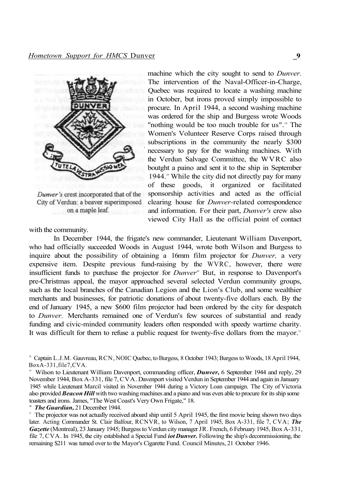

Dunver's crest incorporated that of the City of Verdun: a beaver superimposed on a maple leaf.

with the community.

machine which the city sought to send to *Dunver.*  The intervention of the Naval-Officer-in-Charge, Quebec was required to locate a washing machine in October, but irons proved simply impossible to procure. In April 1944, a second washing machine was ordered for the ship and Burgess wrote Woods "nothing would be too much trouble for us".<sup>28</sup> The Women's Volunteer Reserve Corps raised through subscriptions in the community the nearly \$300 necessary to pay for the washing machines. With the Verdun Salvage Committee, the WVRC also boutght a paino and sent it to the ship in September 1944.<sup>29</sup> While the city did not directly pay for many of these goods, it organized or facilitated sponsorship activities and acted as the official clearing house for *Dunver-*related correspondence and information. For their part, *Dunver's* crew also viewed City Hall as the official point of contact

In December 1944, the frigate's new commander, Lieutenant William Davenport, who had officially succeeded Woods in August 1944, wrote both Wilson and Burgess to inquire about the possibility of obtaining a 16mm film projector for *Dunver,* a very expensive item. Despite previous fund-raising by the WVRC, however, there were insufficient funds to purchase the projector for *Dunver*<sup>30</sup> But, in response to Davenport's pre-Christmas appeal, the mayor approached several selected Verdun community groups, such as the local branches of the Canadian Legion and the Lion's Club, and some wealthier merchants and businesses, for patriotic donations of about twenty-five dollars each. By the end of January 1945, a new \$600 film projector had been ordered by the city for despatch to *Dunver.* Merchants remained one of Verdun's few sources of substantial and ready funding and civic-minded community leaders often responded with speedy wartime charity. It was difficult for them to refuse a public request for twenty-five dollars from the mayor.<sup>31</sup>

<sup>28</sup> Captain L.J.M. Gauvreau, RCN, NOIC Quebec, to Burgess, 8 October 1943; Burgess to Woods, 18 April 1944, BoxA-331,file7,CVA.

<sup>29</sup> Wilson to Lieutenant William Davenport, commanding officer, *Dunver,* 6 September 1944 and reply, 29 November 1944, Box A-331, file 7, CVA. Davenport visited Verdun in September 1944 and again in January 1945 while Lieutenant Marcil visited in November 1944 during a Victory Loan campaign. The City of Victoria also provided *Beacon Hill* with two washing machines and a piano and was even able to procure for its ship some toasters and irons. James, "The West Coast's Very Own Frigate," 18.

*<sup>30</sup> The Guardian,* 21 December 1944.

<sup>&</sup>lt;sup>31</sup> The projector was not actually received aboard ship until 5 April 1945, the first movie being shown two days later. Acting Commander St. Clair Balfour, RCNVR, to Wilson, 7 April 1945, Box A-331, file 7, CVA; *The Gazette* (Montreal), 23 January 1945; Burgess to Verdun city manager JR. French, 6 February 1945, Box A-331, file 7, CVA. In 1945, the city established a Special Fund *iot Dunver.* Following the ship's decommissioning, the remaining \$211 was turned over to the Mayor's Cigarette Fund. Council Minutes, 21 October 1946.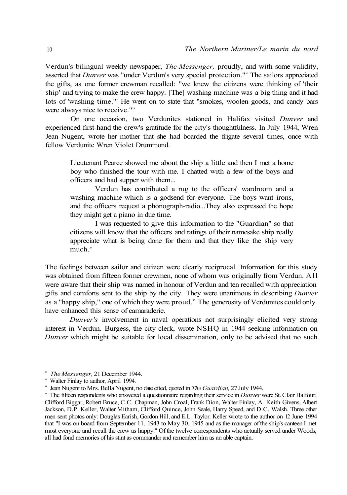Verdun's bilingual weekly newspaper, *The Messenger,* proudly, and with some validity, asserted that *Dunver* was "under Verdun's very special protection."<sup>22</sup> The sailors appreciated the gifts, as one former crewman recalled: "we knew the citizens were thinking of 'their ship' and trying to make the crew happy. [The] washing machine was a big thing and it had lots of 'washing time.'" He went on to state that "smokes, woolen goods, and candy bars were always nice to receive."<sup>33</sup>

On one occasion, two Verdunites stationed in Halifax visited *Dunver* and experienced first-hand the crew's gratitude for the city's thoughtfulness. In July 1944, Wren Jean Nugent, wrote her mother that she had boarded the frigate several times, once with fellow Verdunite Wren Violet Drummond.

Lieutenant Pearce showed me about the ship a little and then I met a home boy who finished the tour with me. I chatted with a few of the boys and officers and had supper with them...

Verdun has contributed a rug to the officers' wardroom and a washing machine which is a godsend for everyone. The boys want irons, and the officers request a phonograph-radio...They also expressed the hope they might get a piano in due time.

I was requested to give this information to the "Guardian" so that citizens will know that the officers and ratings of their namesake ship really appreciate what is being done for them and that they like the ship very much.<sup>34</sup>

The feelings between sailor and citizen were clearly reciprocal. Information for this study was obtained from fifteen former crewmen, none of whom was originally from Verdun. All were aware that their ship was named in honour of Verdun and ten recalled with appreciation gifts and comforts sent to the ship by the city. They were unanimous in describing *Dunver*  as a "happy ship," one of which they were proud." The generosity of Verdunites could only have enhanced this sense of camaraderie.

*Dunver's* involvement in naval operations not surprisingly elicited very strong interest in Verdun. Burgess, the city clerk, wrote NSHQ in 1944 seeking information on *Dunver* which might be suitable for local dissemination, only to be advised that no such

*<sup>32</sup> The Messenger,* 21 December 1944.

<sup>&</sup>lt;sup>33</sup> Walter Finlay to author, April 1994.

<sup>34</sup> Jean Nugent to Mrs. Bella Nugent, no date cited, quoted in *The Guardian,* 27 July 1944.

<sup>&</sup>lt;sup>35</sup> The fifteen respondents who answered a questionnaire regarding their service in *Dunver* were St. Clair Balfour, Clifford Biggar, Robert Bruce, C.C. Chapman, John Croal, Frank Dion, Walter Finlay, A. Keith Givens, Albert Jackson, D.P. Keller, Walter Mitham, Clifford Quince, John Seale, Harry Speed, and D.C. Walsh. Three other men sent photos only: Douglas Earish, Gordon Hill, and E.L. Taylor. Keller wrote to the author on 12 June 1994 that "I was on board from September 11, 1943 to May 30, 1945 and as the manager of the ship's canteen I met most everyone and recall the crew as happy." Of the twelve correspondents who actually served under Woods, all had fond memories of his stint as commander and remember him as an able captain.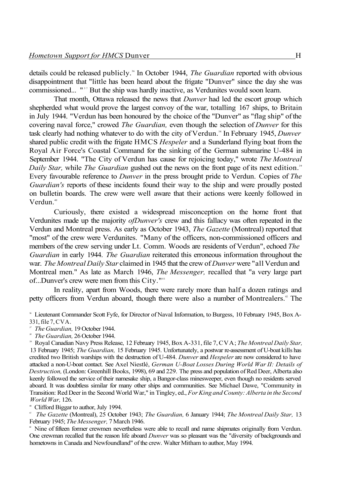details could be released publicly.<sup>36</sup> In October 1944, *The Guardian* reported with obvious disappointment that "little has been heard about the frigate "Dunver" since the day she was commissioned... "<sup>37</sup> But the ship was hardly inactive, as Verdunites would soon learn.

That month, Ottawa released the news that *Dunver* had led the escort group which shepherded what would prove the largest convoy of the war, totalling 167 ships, to Britain in July 1944. "Verdun has been honoured by the choice of the "Dunver" as "flag ship" of the covering naval force," crowed *The Guardian,* even though the selection of *Dunver* for this task clearly had nothing whatever to do with the city of Verdun.<sup>38</sup> In February 1945, Dunver shared public credit with the frigate HMCS *Hespeler* and a Sunderland flying boat from the Royal Air Force's Coastal Command for the sinking of the German submarine U-484 in September 1944. "The City of Verdun has cause for rejoicing today," wrote *The Montreal Daily Star,* while *The Guardian* gushed out the news on the front page of its next edition.<sup>39</sup> Every favourable reference to *Dunver* in the press brought pride to Verdun. Copies of *The Guardian's* reports of these incidents found their way to the ship and were proudly posted on bulletin boards. The crew were well aware that their actions were keenly followed in Verdun<sup>40</sup>

Curiously, there existed a widespread misconception on the home front that Verdunites made up the majority *ofDunver's* crew and this fallacy was often repeated in the Verdun and Montreal press. As early as October 1943, *The Gazette* (Montreal) reported that "most" of the crew were Verdunites. "Many of the officers, non-commissioned officers and members of the crew serving under Lt. Comm. Woods are residents of Verdun", echoed *The Guardian* in early 1944. *The Guardian* reiterated this erroneous information throughout the war. *The Montreal Daily Star* claimed in 1945 that the crew of *Dunver* were "all Verdun and Montreal men." As late as March 1946, *The Messenger,* recalled that "a very large part of...Dunver's crew were men from this City."<sup>41</sup>

In reality, apart from Woods, there were rarely more than half a dozen ratings and petty officers from Verdun aboard, though there were also a number of Montrealers.<sup>42</sup> The

36 Lieutenant Commander Scott Fyfe, for Director of Naval Information, to Burgess, 10 February 1945, Box A-331, file 7, CVA.

*37 The Guardian,* 19 October 1944.

*38 The Guardian,* 26 October 1944.

39 Royal Canadian Navy Press Release, 12 February 1945, Box A-331, file 7, CVA; *The Montreal Daily Star,*  13 February 1945; *The Guardian,* 15 February 1945. Unfortunately, a postwar re-assessment of U-boat kills has credited two British warships with the destruction of U-484. *Dunver* and *Hespeler* are now considered to have attacked a non-U-boat contact. See Axel Niestlé, *German U-Boat Losses During World War II: Details of Destruction,* (London: Greenhill Books, 1998), 69 and 229. The press and population of Red Deer, Alberta also keenly followed the service of their namesake ship, a Bangor-class minesweeper, even though no residents served aboard. It was doubtless similar for many other ships and communities. See Michael Dawe, "Community in Transition: Red Deer in the Second World War," in Tingley, ed., *For King and County: Alberta in the Second World War,* 126.

40 Clifford Biggar to author, July 1994.

*41 The Gazette* (Montreal), 25 October 1943; *The Guardian,* 6 January 1944; *The Montreal Daily Star,* 13 February 1945; *The Messenger,* 7 March 1946.

42 Nine of fifteen former crewmen nevertheless were able to recall and name shipmates originally from Verdun. One crewman recalled that the reason life aboard *Dunver* was so pleasant was the "diversity of backgrounds and hometowns in Canada and Newfoundland" of the crew. Walter Mitham to author, May 1994.